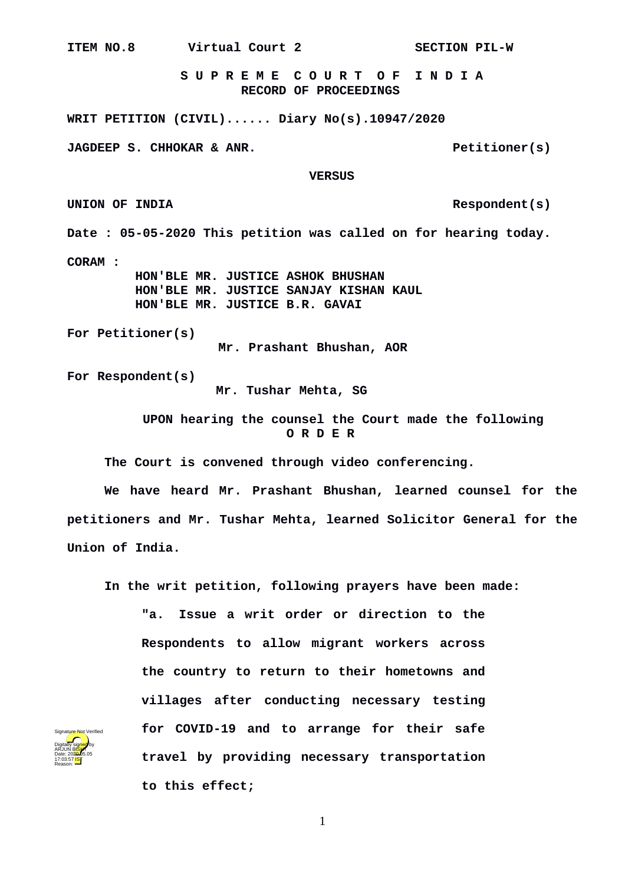**S U P R E M E C O U R T O F I N D I A RECORD OF PROCEEDINGS WRIT PETITION (CIVIL)...... Diary No(s).10947/2020 JAGDEEP S. CHHOKAR & ANR.** Petitioner(s)  **VERSUS UNION OF INDIA Respondent(s) Date : 05-05-2020 This petition was called on for hearing today. CORAM : HON'BLE MR. JUSTICE ASHOK BHUSHAN HON'BLE MR. JUSTICE SANJAY KISHAN KAUL HON'BLE MR. JUSTICE B.R. GAVAI For Petitioner(s) Mr. Prashant Bhushan, AOR For Respondent(s) Mr. Tushar Mehta, SG**

> **UPON hearing the counsel the Court made the following O R D E R**

**The Court is convened through video conferencing.**

**We have heard Mr. Prashant Bhushan, learned counsel for the petitioners and Mr. Tushar Mehta, learned Solicitor General for the Union of India.**

**In the writ petition, following prayers have been made:**

**"a. Issue a writ order or direction to the Respondents to allow migrant workers across the country to return to their hometowns and villages after conducting necessary testing for COVID-19 and to arrange for their safe travel by providing necessary transportation to this effect;**

1

**ITEM NO.8 Virtual Court 2 SECTION PIL-W**

Digitally signed by arjun B<mark>ish</mark>t Date: 2020.05.05 17:03:57 IST Reason:

Signature Not Verified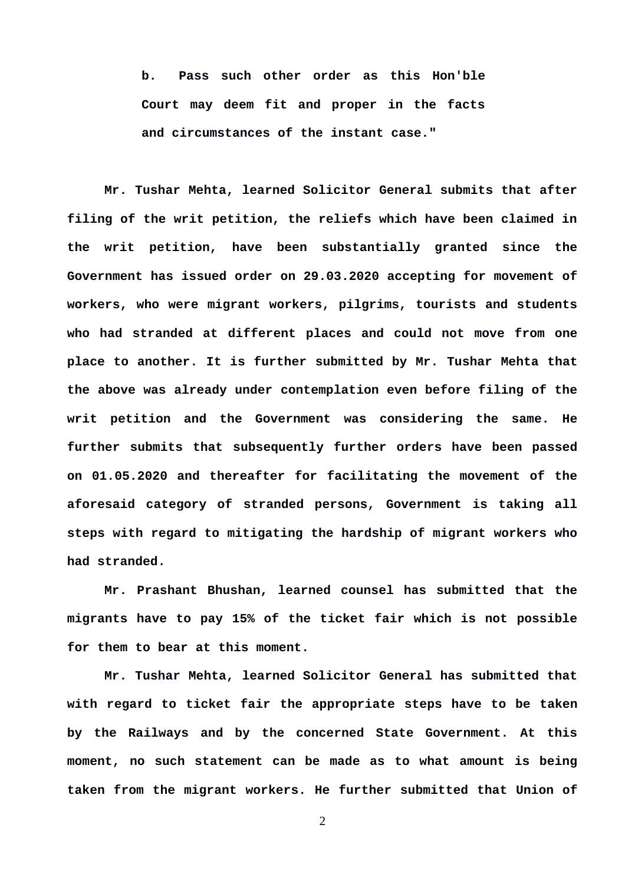**b. Pass such other order as this Hon'ble Court may deem fit and proper in the facts and circumstances of the instant case."**

**Mr. Tushar Mehta, learned Solicitor General submits that after filing of the writ petition, the reliefs which have been claimed in the writ petition, have been substantially granted since the Government has issued order on 29.03.2020 accepting for movement of workers, who were migrant workers, pilgrims, tourists and students who had stranded at different places and could not move from one place to another. It is further submitted by Mr. Tushar Mehta that the above was already under contemplation even before filing of the writ petition and the Government was considering the same. He further submits that subsequently further orders have been passed on 01.05.2020 and thereafter for facilitating the movement of the aforesaid category of stranded persons, Government is taking all steps with regard to mitigating the hardship of migrant workers who had stranded.** 

**Mr. Prashant Bhushan, learned counsel has submitted that the migrants have to pay 15% of the ticket fair which is not possible for them to bear at this moment.** 

**Mr. Tushar Mehta, learned Solicitor General has submitted that with regard to ticket fair the appropriate steps have to be taken by the Railways and by the concerned State Government. At this moment, no such statement can be made as to what amount is being taken from the migrant workers. He further submitted that Union of**

2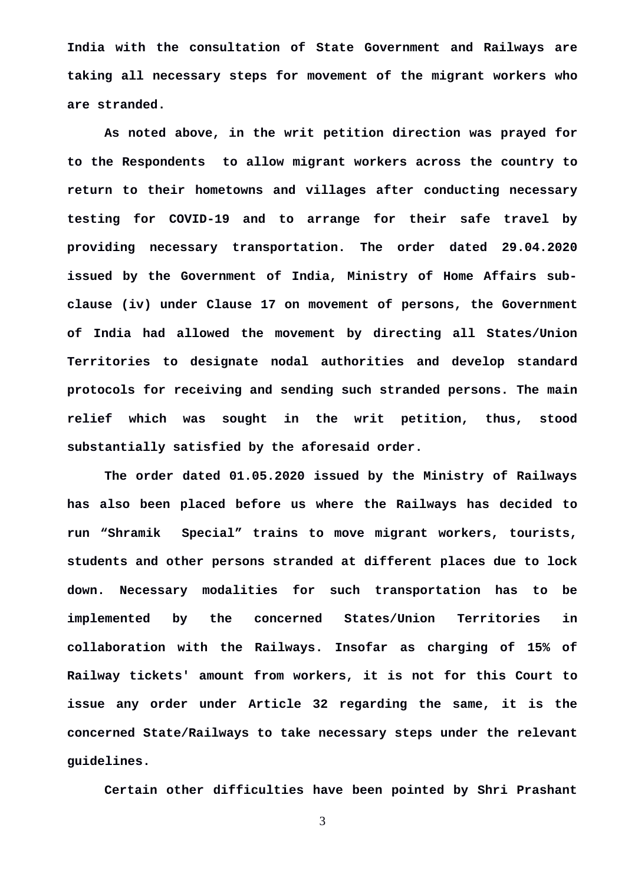**India with the consultation of State Government and Railways are taking all necessary steps for movement of the migrant workers who are stranded.**

**As noted above, in the writ petition direction was prayed for to the Respondents to allow migrant workers across the country to return to their hometowns and villages after conducting necessary testing for COVID-19 and to arrange for their safe travel by providing necessary transportation. The order dated 29.04.2020 issued by the Government of India, Ministry of Home Affairs subclause (iv) under Clause 17 on movement of persons, the Government of India had allowed the movement by directing all States/Union Territories to designate nodal authorities and develop standard protocols for receiving and sending such stranded persons. The main relief which was sought in the writ petition, thus, stood substantially satisfied by the aforesaid order.** 

**The order dated 01.05.2020 issued by the Ministry of Railways has also been placed before us where the Railways has decided to run "Shramik Special" trains to move migrant workers, tourists, students and other persons stranded at different places due to lock down. Necessary modalities for such transportation has to be implemented by the concerned States/Union Territories in collaboration with the Railways. Insofar as charging of 15% of Railway tickets' amount from workers, it is not for this Court to issue any order under Article 32 regarding the same, it is the concerned State/Railways to take necessary steps under the relevant guidelines.**

**Certain other difficulties have been pointed by Shri Prashant**

3